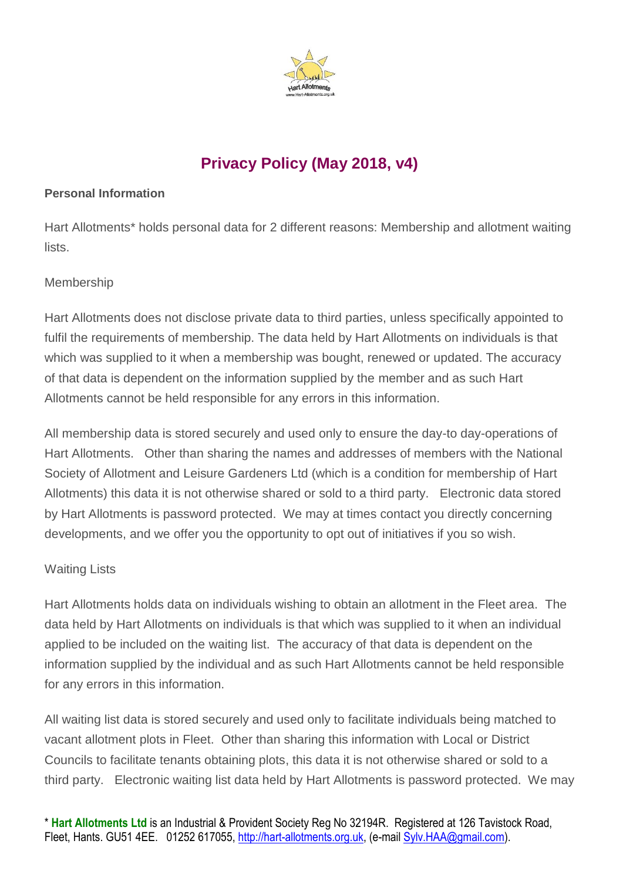

# **Privacy Policy (May 2018, v4)**

#### **Personal Information**

Hart Allotments\* holds personal data for 2 different reasons: Membership and allotment waiting lists.

### Membership

Hart Allotments does not disclose private data to third parties, unless specifically appointed to fulfil the requirements of membership. The data held by Hart Allotments on individuals is that which was supplied to it when a membership was bought, renewed or updated. The accuracy of that data is dependent on the information supplied by the member and as such Hart Allotments cannot be held responsible for any errors in this information.

All membership data is stored securely and used only to ensure the day-to day-operations of Hart Allotments. Other than sharing the names and addresses of members with the National Society of Allotment and Leisure Gardeners Ltd (which is a condition for membership of Hart Allotments) this data it is not otherwise shared or sold to a third party. Electronic data stored by Hart Allotments is password protected. We may at times contact you directly concerning developments, and we offer you the opportunity to opt out of initiatives if you so wish.

### Waiting Lists

Hart Allotments holds data on individuals wishing to obtain an allotment in the Fleet area. The data held by Hart Allotments on individuals is that which was supplied to it when an individual applied to be included on the waiting list. The accuracy of that data is dependent on the information supplied by the individual and as such Hart Allotments cannot be held responsible for any errors in this information.

All waiting list data is stored securely and used only to facilitate individuals being matched to vacant allotment plots in Fleet. Other than sharing this information with Local or District Councils to facilitate tenants obtaining plots, this data it is not otherwise shared or sold to a third party. Electronic waiting list data held by Hart Allotments is password protected. We may